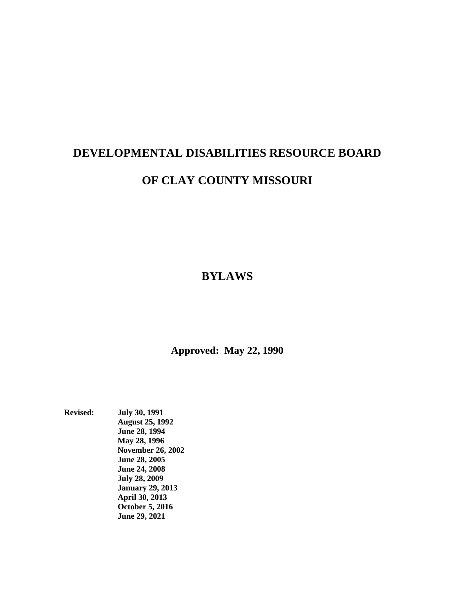# **DEVELOPMENTAL DISABILITIES RESOURCE BOARD OF CLAY COUNTY MISSOURI**

**BYLAWS**

**Approved: May 22, 1990**

**Revised: July 30, 1991 August 25, 1992 June 28, 1994 May 28, 1996 November 26, 2002 June 28, 2005 June 24, 2008 July 28, 2009 January 29, 2013 April 30, 2013 October 5, 2016 June 29, 2021**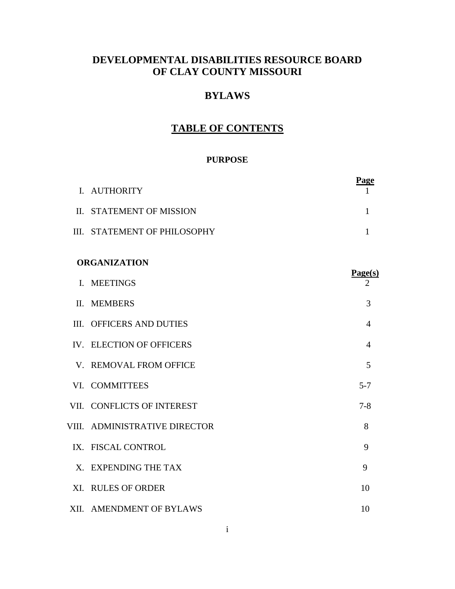# **DEVELOPMENTAL DISABILITIES RESOURCE BOARD OF CLAY COUNTY MISSOURI**

## **BYLAWS**

# **TABLE OF CONTENTS**

#### **PURPOSE**

|                     |                               | <b>Page</b>    |
|---------------------|-------------------------------|----------------|
|                     | I. AUTHORITY                  |                |
|                     | II. STATEMENT OF MISSION      | 1              |
|                     | III. STATEMENT OF PHILOSOPHY  | $\mathbf{1}$   |
|                     |                               |                |
| <b>ORGANIZATION</b> |                               |                |
|                     | I. MEETINGS                   | Page(s)<br>2   |
|                     | II. MEMBERS                   | 3              |
|                     | III. OFFICERS AND DUTIES      | $\overline{4}$ |
|                     | IV. ELECTION OF OFFICERS      | $\overline{4}$ |
|                     | V. REMOVAL FROM OFFICE        | 5              |
|                     | VI. COMMITTEES                | $5 - 7$        |
|                     | VII. CONFLICTS OF INTEREST    | $7 - 8$        |
|                     | VIII. ADMINISTRATIVE DIRECTOR | 8              |
|                     | IX. FISCAL CONTROL            | 9              |
|                     | X. EXPENDING THE TAX          | 9              |
|                     | XI. RULES OF ORDER            | 10             |
|                     | XII. AMENDMENT OF BYLAWS      | 10             |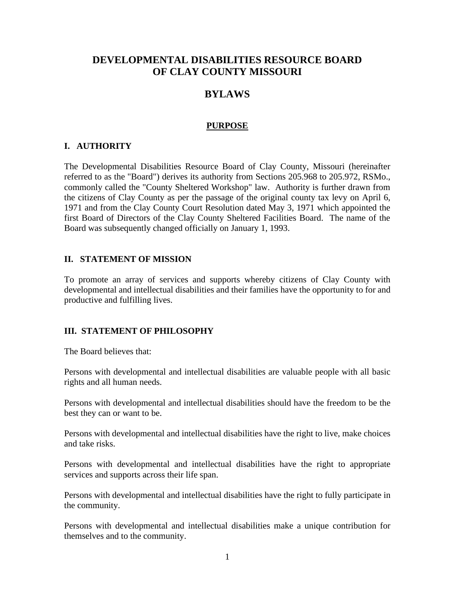## **DEVELOPMENTAL DISABILITIES RESOURCE BOARD OF CLAY COUNTY MISSOURI**

## **BYLAWS**

#### **PURPOSE**

#### **I. AUTHORITY**

The Developmental Disabilities Resource Board of Clay County, Missouri (hereinafter referred to as the "Board") derives its authority from Sections 205.968 to 205.972, RSMo., commonly called the "County Sheltered Workshop" law. Authority is further drawn from the citizens of Clay County as per the passage of the original county tax levy on April 6, 1971 and from the Clay County Court Resolution dated May 3, 1971 which appointed the first Board of Directors of the Clay County Sheltered Facilities Board. The name of the Board was subsequently changed officially on January 1, 1993.

#### **II. STATEMENT OF MISSION**

To promote an array of services and supports whereby citizens of Clay County with developmental and intellectual disabilities and their families have the opportunity to for and productive and fulfilling lives.

#### **III. STATEMENT OF PHILOSOPHY**

The Board believes that:

Persons with developmental and intellectual disabilities are valuable people with all basic rights and all human needs.

Persons with developmental and intellectual disabilities should have the freedom to be the best they can or want to be.

Persons with developmental and intellectual disabilities have the right to live, make choices and take risks.

Persons with developmental and intellectual disabilities have the right to appropriate services and supports across their life span.

Persons with developmental and intellectual disabilities have the right to fully participate in the community.

Persons with developmental and intellectual disabilities make a unique contribution for themselves and to the community.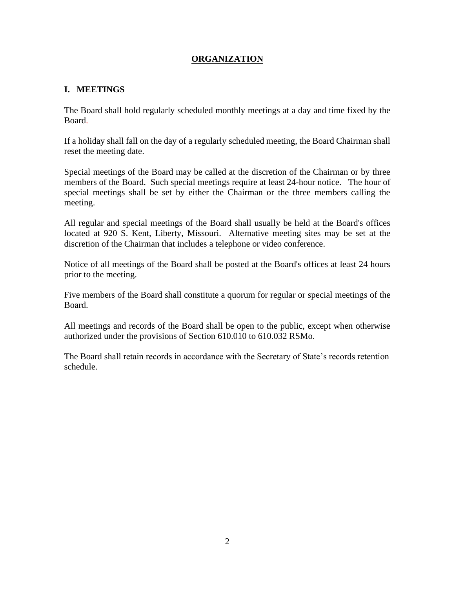## **ORGANIZATION**

#### **I. MEETINGS**

The Board shall hold regularly scheduled monthly meetings at a day and time fixed by the Board.

If a holiday shall fall on the day of a regularly scheduled meeting, the Board Chairman shall reset the meeting date.

Special meetings of the Board may be called at the discretion of the Chairman or by three members of the Board. Such special meetings require at least 24-hour notice. The hour of special meetings shall be set by either the Chairman or the three members calling the meeting.

All regular and special meetings of the Board shall usually be held at the Board's offices located at 920 S. Kent, Liberty, Missouri. Alternative meeting sites may be set at the discretion of the Chairman that includes a telephone or video conference.

Notice of all meetings of the Board shall be posted at the Board's offices at least 24 hours prior to the meeting.

Five members of the Board shall constitute a quorum for regular or special meetings of the Board.

All meetings and records of the Board shall be open to the public, except when otherwise authorized under the provisions of Section 610.010 to 610.032 RSMo.

The Board shall retain records in accordance with the Secretary of State's records retention schedule.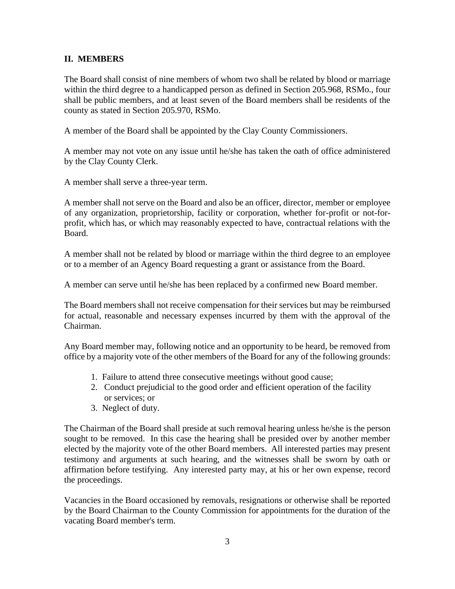#### **II. MEMBERS**

The Board shall consist of nine members of whom two shall be related by blood or marriage within the third degree to a handicapped person as defined in Section 205.968, RSMo., four shall be public members, and at least seven of the Board members shall be residents of the county as stated in Section 205.970, RSMo.

A member of the Board shall be appointed by the Clay County Commissioners.

A member may not vote on any issue until he/she has taken the oath of office administered by the Clay County Clerk.

A member shall serve a three-year term.

A member shall not serve on the Board and also be an officer, director, member or employee of any organization, proprietorship, facility or corporation, whether for-profit or not-forprofit, which has, or which may reasonably expected to have, contractual relations with the Board.

A member shall not be related by blood or marriage within the third degree to an employee or to a member of an Agency Board requesting a grant or assistance from the Board.

A member can serve until he/she has been replaced by a confirmed new Board member.

The Board members shall not receive compensation for their services but may be reimbursed for actual, reasonable and necessary expenses incurred by them with the approval of the Chairman.

Any Board member may, following notice and an opportunity to be heard, be removed from office by a majority vote of the other members of the Board for any of the following grounds:

- 1. Failure to attend three consecutive meetings without good cause;
- 2. Conduct prejudicial to the good order and efficient operation of the facility or services; or
- 3. Neglect of duty.

The Chairman of the Board shall preside at such removal hearing unless he/she is the person sought to be removed. In this case the hearing shall be presided over by another member elected by the majority vote of the other Board members. All interested parties may present testimony and arguments at such hearing, and the witnesses shall be sworn by oath or affirmation before testifying. Any interested party may, at his or her own expense, record the proceedings.

Vacancies in the Board occasioned by removals, resignations or otherwise shall be reported by the Board Chairman to the County Commission for appointments for the duration of the vacating Board member's term.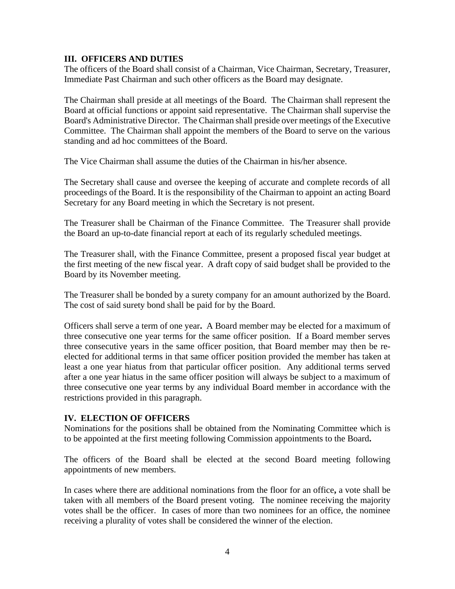#### **III. OFFICERS AND DUTIES**

The officers of the Board shall consist of a Chairman, Vice Chairman, Secretary, Treasurer, Immediate Past Chairman and such other officers as the Board may designate.

The Chairman shall preside at all meetings of the Board. The Chairman shall represent the Board at official functions or appoint said representative. The Chairman shall supervise the Board's Administrative Director. The Chairman shall preside over meetings of the Executive Committee. The Chairman shall appoint the members of the Board to serve on the various standing and ad hoc committees of the Board.

The Vice Chairman shall assume the duties of the Chairman in his/her absence.

The Secretary shall cause and oversee the keeping of accurate and complete records of all proceedings of the Board. It is the responsibility of the Chairman to appoint an acting Board Secretary for any Board meeting in which the Secretary is not present.

The Treasurer shall be Chairman of the Finance Committee. The Treasurer shall provide the Board an up-to-date financial report at each of its regularly scheduled meetings.

The Treasurer shall, with the Finance Committee, present a proposed fiscal year budget at the first meeting of the new fiscal year. A draft copy of said budget shall be provided to the Board by its November meeting.

The Treasurer shall be bonded by a surety company for an amount authorized by the Board. The cost of said surety bond shall be paid for by the Board.

Officers shall serve a term of one year**.** A Board member may be elected for a maximum of three consecutive one year terms for the same officer position. If a Board member serves three consecutive years in the same officer position, that Board member may then be reelected for additional terms in that same officer position provided the member has taken at least a one year hiatus from that particular officer position. Any additional terms served after a one year hiatus in the same officer position will always be subject to a maximum of three consecutive one year terms by any individual Board member in accordance with the restrictions provided in this paragraph.

#### **IV. ELECTION OF OFFICERS**

Nominations for the positions shall be obtained from the Nominating Committee which is to be appointed at the first meeting following Commission appointments to the Board**.**

The officers of the Board shall be elected at the second Board meeting following appointments of new members.

In cases where there are additional nominations from the floor for an office**,** a vote shall be taken with all members of the Board present voting. The nominee receiving the majority votes shall be the officer. In cases of more than two nominees for an office, the nominee receiving a plurality of votes shall be considered the winner of the election.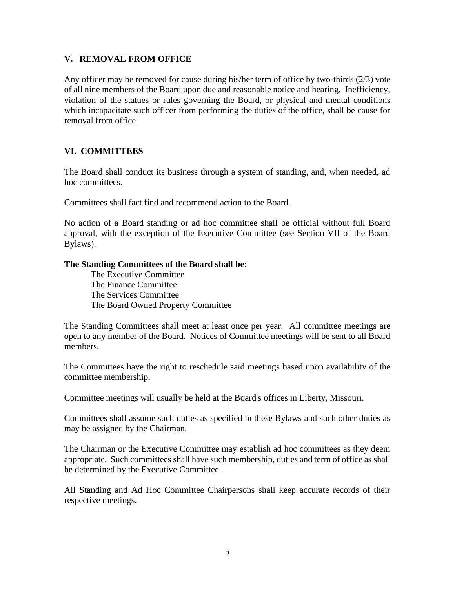#### **V. REMOVAL FROM OFFICE**

Any officer may be removed for cause during his/her term of office by two-thirds (2/3) vote of all nine members of the Board upon due and reasonable notice and hearing. Inefficiency, violation of the statues or rules governing the Board, or physical and mental conditions which incapacitate such officer from performing the duties of the office, shall be cause for removal from office.

#### **VI. COMMITTEES**

The Board shall conduct its business through a system of standing, and, when needed, ad hoc committees.

Committees shall fact find and recommend action to the Board.

No action of a Board standing or ad hoc committee shall be official without full Board approval, with the exception of the Executive Committee (see Section VII of the Board Bylaws).

#### **The Standing Committees of the Board shall be**:

The Executive Committee The Finance Committee The Services Committee The Board Owned Property Committee

The Standing Committees shall meet at least once per year. All committee meetings are open to any member of the Board. Notices of Committee meetings will be sent to all Board members.

The Committees have the right to reschedule said meetings based upon availability of the committee membership.

Committee meetings will usually be held at the Board's offices in Liberty, Missouri.

Committees shall assume such duties as specified in these Bylaws and such other duties as may be assigned by the Chairman.

The Chairman or the Executive Committee may establish ad hoc committees as they deem appropriate. Such committees shall have such membership, duties and term of office as shall be determined by the Executive Committee.

All Standing and Ad Hoc Committee Chairpersons shall keep accurate records of their respective meetings.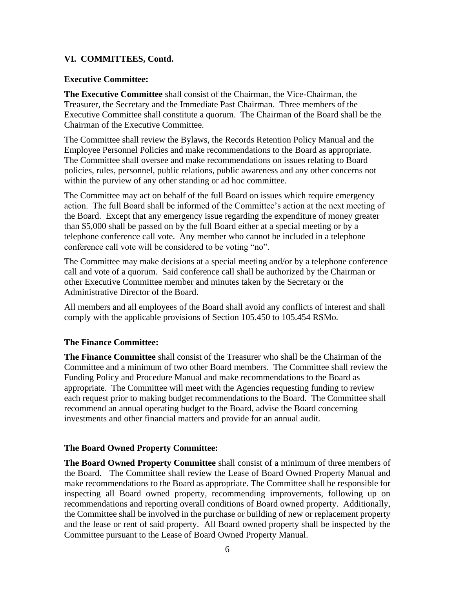#### **VI. COMMITTEES, Contd.**

#### **Executive Committee:**

**The Executive Committee** shall consist of the Chairman, the Vice-Chairman, the Treasurer, the Secretary and the Immediate Past Chairman. Three members of the Executive Committee shall constitute a quorum. The Chairman of the Board shall be the Chairman of the Executive Committee.

The Committee shall review the Bylaws, the Records Retention Policy Manual and the Employee Personnel Policies and make recommendations to the Board as appropriate. The Committee shall oversee and make recommendations on issues relating to Board policies, rules, personnel, public relations, public awareness and any other concerns not within the purview of any other standing or ad hoc committee.

The Committee may act on behalf of the full Board on issues which require emergency action. The full Board shall be informed of the Committee's action at the next meeting of the Board. Except that any emergency issue regarding the expenditure of money greater than \$5,000 shall be passed on by the full Board either at a special meeting or by a telephone conference call vote. Any member who cannot be included in a telephone conference call vote will be considered to be voting "no".

The Committee may make decisions at a special meeting and/or by a telephone conference call and vote of a quorum. Said conference call shall be authorized by the Chairman or other Executive Committee member and minutes taken by the Secretary or the Administrative Director of the Board.

All members and all employees of the Board shall avoid any conflicts of interest and shall comply with the applicable provisions of Section 105.450 to 105.454 RSMo.

#### **The Finance Committee:**

**The Finance Committee** shall consist of the Treasurer who shall be the Chairman of the Committee and a minimum of two other Board members. The Committee shall review the Funding Policy and Procedure Manual and make recommendations to the Board as appropriate. The Committee will meet with the Agencies requesting funding to review each request prior to making budget recommendations to the Board. The Committee shall recommend an annual operating budget to the Board, advise the Board concerning investments and other financial matters and provide for an annual audit.

#### **The Board Owned Property Committee:**

**The Board Owned Property Committee** shall consist of a minimum of three members of the Board. The Committee shall review the Lease of Board Owned Property Manual and make recommendations to the Board as appropriate. The Committee shall be responsible for inspecting all Board owned property, recommending improvements, following up on recommendations and reporting overall conditions of Board owned property. Additionally, the Committee shall be involved in the purchase or building of new or replacement property and the lease or rent of said property. All Board owned property shall be inspected by the Committee pursuant to the Lease of Board Owned Property Manual.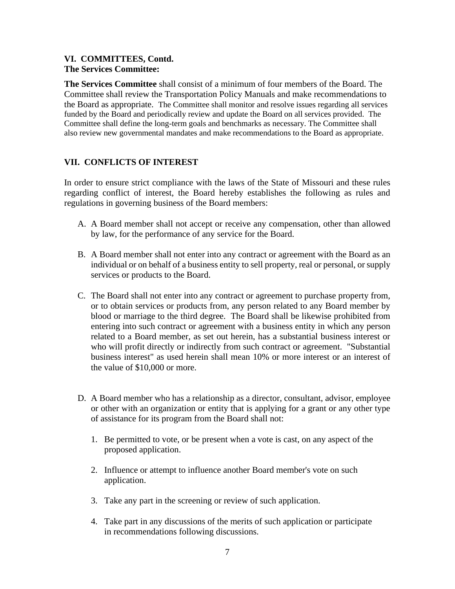#### **VI. COMMITTEES, Contd. The Services Committee:**

**The Services Committee** shall consist of a minimum of four members of the Board. The Committee shall review the Transportation Policy Manuals and make recommendations to the Board as appropriate. The Committee shall monitor and resolve issues regarding all services funded by the Board and periodically review and update the Board on all services provided. The Committee shall define the long-term goals and benchmarks as necessary. The Committee shall also review new governmental mandates and make recommendations to the Board as appropriate.

#### **VII. CONFLICTS OF INTEREST**

In order to ensure strict compliance with the laws of the State of Missouri and these rules regarding conflict of interest, the Board hereby establishes the following as rules and regulations in governing business of the Board members:

- A. A Board member shall not accept or receive any compensation, other than allowed by law, for the performance of any service for the Board.
- B. A Board member shall not enter into any contract or agreement with the Board as an individual or on behalf of a business entity to sell property, real or personal, or supply services or products to the Board.
- C. The Board shall not enter into any contract or agreement to purchase property from, or to obtain services or products from, any person related to any Board member by blood or marriage to the third degree. The Board shall be likewise prohibited from entering into such contract or agreement with a business entity in which any person related to a Board member, as set out herein, has a substantial business interest or who will profit directly or indirectly from such contract or agreement. "Substantial business interest" as used herein shall mean 10% or more interest or an interest of the value of \$10,000 or more.
- D. A Board member who has a relationship as a director, consultant, advisor, employee or other with an organization or entity that is applying for a grant or any other type of assistance for its program from the Board shall not:
	- 1. Be permitted to vote, or be present when a vote is cast, on any aspect of the proposed application.
	- 2. Influence or attempt to influence another Board member's vote on such application.
	- 3. Take any part in the screening or review of such application.
	- 4. Take part in any discussions of the merits of such application or participate in recommendations following discussions.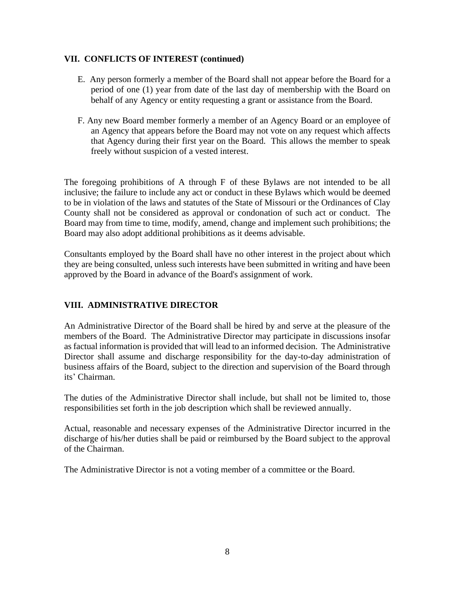#### **VII. CONFLICTS OF INTEREST (continued)**

- E. Any person formerly a member of the Board shall not appear before the Board for a period of one (1) year from date of the last day of membership with the Board on behalf of any Agency or entity requesting a grant or assistance from the Board.
- F. Any new Board member formerly a member of an Agency Board or an employee of an Agency that appears before the Board may not vote on any request which affects that Agency during their first year on the Board. This allows the member to speak freely without suspicion of a vested interest.

The foregoing prohibitions of A through F of these Bylaws are not intended to be all inclusive; the failure to include any act or conduct in these Bylaws which would be deemed to be in violation of the laws and statutes of the State of Missouri or the Ordinances of Clay County shall not be considered as approval or condonation of such act or conduct. The Board may from time to time, modify, amend, change and implement such prohibitions; the Board may also adopt additional prohibitions as it deems advisable.

Consultants employed by the Board shall have no other interest in the project about which they are being consulted, unless such interests have been submitted in writing and have been approved by the Board in advance of the Board's assignment of work.

#### **VIII. ADMINISTRATIVE DIRECTOR**

An Administrative Director of the Board shall be hired by and serve at the pleasure of the members of the Board. The Administrative Director may participate in discussions insofar as factual information is provided that will lead to an informed decision. The Administrative Director shall assume and discharge responsibility for the day-to-day administration of business affairs of the Board, subject to the direction and supervision of the Board through its' Chairman.

The duties of the Administrative Director shall include, but shall not be limited to, those responsibilities set forth in the job description which shall be reviewed annually.

Actual, reasonable and necessary expenses of the Administrative Director incurred in the discharge of his/her duties shall be paid or reimbursed by the Board subject to the approval of the Chairman.

The Administrative Director is not a voting member of a committee or the Board.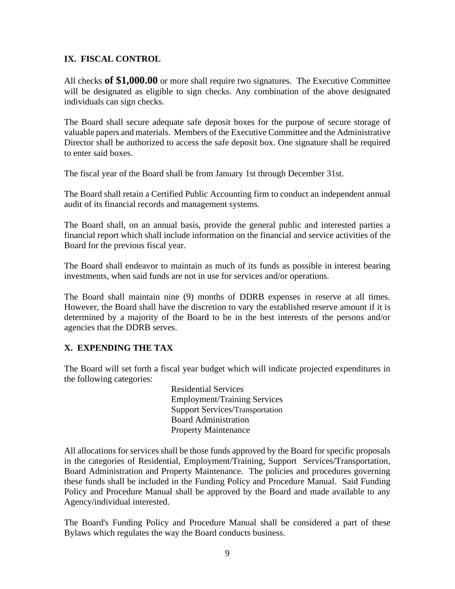#### **IX. FISCAL CONTROL**

All checks **of \$1,000.00** or more shall require two signatures. The Executive Committee will be designated as eligible to sign checks. Any combination of the above designated individuals can sign checks.

The Board shall secure adequate safe deposit boxes for the purpose of secure storage of valuable papers and materials. Members of the Executive Committee and the Administrative Director shall be authorized to access the safe deposit box. One signature shall be required to enter said boxes.

The fiscal year of the Board shall be from January 1st through December 31st.

The Board shall retain a Certified Public Accounting firm to conduct an independent annual audit of its financial records and management systems.

The Board shall, on an annual basis, provide the general public and interested parties a financial report which shall include information on the financial and service activities of the Board for the previous fiscal year.

The Board shall endeavor to maintain as much of its funds as possible in interest bearing investments, when said funds are not in use for services and/or operations.

The Board shall maintain nine (9) months of DDRB expenses in reserve at all times. However, the Board shall have the discretion to vary the established reserve amount if it is determined by a majority of the Board to be in the best interests of the persons and/or agencies that the DDRB serves.

#### **X. EXPENDING THE TAX**

The Board will set forth a fiscal year budget which will indicate projected expenditures in the following categories:

> Residential Services Employment/Training Services Support Services/Transportation Board Administration Property Maintenance

All allocations for services shall be those funds approved by the Board for specific proposals in the categories of Residential, Employment/Training, Support Services/Transportation, Board Administration and Property Maintenance. The policies and procedures governing these funds shall be included in the Funding Policy and Procedure Manual. Said Funding Policy and Procedure Manual shall be approved by the Board and made available to any Agency/individual interested.

The Board's Funding Policy and Procedure Manual shall be considered a part of these Bylaws which regulates the way the Board conducts business.